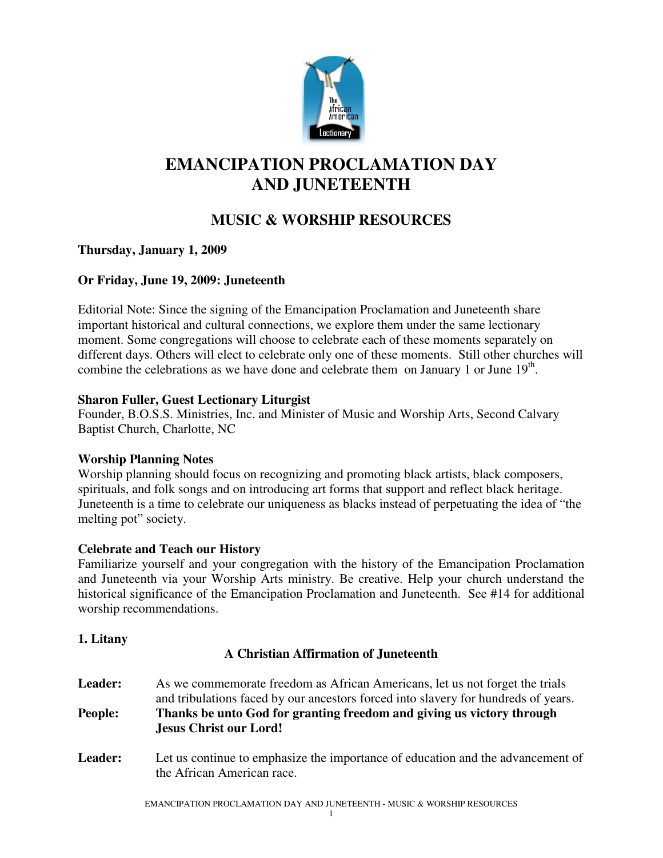

# **EMANCIPATION PROCLAMATION DAY AND JUNETEENTH**

## **MUSIC & WORSHIP RESOURCES**

## **Thursday, January 1, 2009**

## **Or Friday, June 19, 2009: Juneteenth**

Editorial Note: Since the signing of the Emancipation Proclamation and Juneteenth share important historical and cultural connections, we explore them under the same lectionary moment. Some congregations will choose to celebrate each of these moments separately on different days. Others will elect to celebrate only one of these moments. Still other churches will combine the celebrations as we have done and celebrate them on January 1 or June  $19<sup>th</sup>$ .

## **Sharon Fuller, Guest Lectionary Liturgist**

Founder, B.O.S.S. Ministries, Inc. and Minister of Music and Worship Arts, Second Calvary Baptist Church, Charlotte, NC

## **Worship Planning Notes**

Worship planning should focus on recognizing and promoting black artists, black composers, spirituals, and folk songs and on introducing art forms that support and reflect black heritage. Juneteenth is a time to celebrate our uniqueness as blacks instead of perpetuating the idea of "the melting pot" society.

## **Celebrate and Teach our History**

Familiarize yourself and your congregation with the history of the Emancipation Proclamation and Juneteenth via your Worship Arts ministry. Be creative. Help your church understand the historical significance of the Emancipation Proclamation and Juneteenth. See #14 for additional worship recommendations.

## **1. Litany**

## **A Christian Affirmation of Juneteenth**

- Leader: As we commemorate freedom as African Americans, let us not forget the trials and tribulations faced by our ancestors forced into slavery for hundreds of years. **People: Thanks be unto God for granting freedom and giving us victory through Jesus Christ our Lord!**
- **Leader:** Let us continue to emphasize the importance of education and the advancement of the African American race.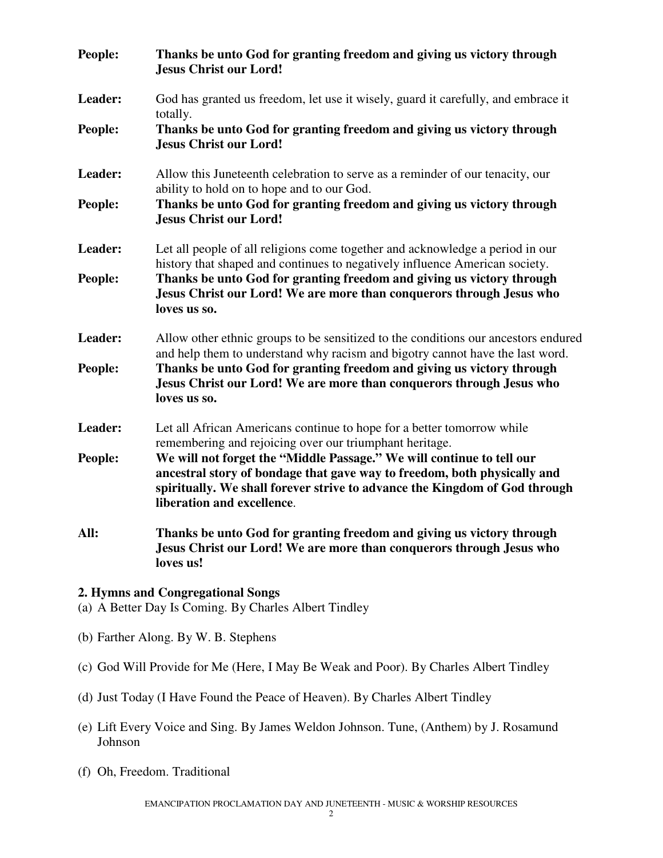| People: | Thanks be unto God for granting freedom and giving us victory through<br><b>Jesus Christ our Lord!</b>                                                                                                                                                        |
|---------|---------------------------------------------------------------------------------------------------------------------------------------------------------------------------------------------------------------------------------------------------------------|
| Leader: | God has granted us freedom, let use it wisely, guard it carefully, and embrace it<br>totally.                                                                                                                                                                 |
| People: | Thanks be unto God for granting freedom and giving us victory through<br><b>Jesus Christ our Lord!</b>                                                                                                                                                        |
| Leader: | Allow this Juneteenth celebration to serve as a reminder of our tenacity, our<br>ability to hold on to hope and to our God.                                                                                                                                   |
| People: | Thanks be unto God for granting freedom and giving us victory through<br><b>Jesus Christ our Lord!</b>                                                                                                                                                        |
| Leader: | Let all people of all religions come together and acknowledge a period in our<br>history that shaped and continues to negatively influence American society.                                                                                                  |
| People: | Thanks be unto God for granting freedom and giving us victory through<br>Jesus Christ our Lord! We are more than conquerors through Jesus who<br>loves us so.                                                                                                 |
| Leader: | Allow other ethnic groups to be sensitized to the conditions our ancestors endured<br>and help them to understand why racism and bigotry cannot have the last word.                                                                                           |
| People: | Thanks be unto God for granting freedom and giving us victory through<br>Jesus Christ our Lord! We are more than conquerors through Jesus who<br>loves us so.                                                                                                 |
| Leader: | Let all African Americans continue to hope for a better tomorrow while<br>remembering and rejoicing over our triumphant heritage.                                                                                                                             |
| People: | We will not forget the "Middle Passage." We will continue to tell our<br>ancestral story of bondage that gave way to freedom, both physically and<br>spiritually. We shall forever strive to advance the Kingdom of God through<br>liberation and excellence. |
| All:    | Thanks be unto God for granting freedom and giving us victory through<br>Jesus Christ our Lord! We are more than conquerors through Jesus who<br>loves us!                                                                                                    |

#### **2. Hymns and Congregational Songs**

- (a) A Better Day Is Coming. By Charles Albert Tindley
- (b) Farther Along. By W. B. Stephens
- (c) God Will Provide for Me (Here, I May Be Weak and Poor). By Charles Albert Tindley
- (d) Just Today (I Have Found the Peace of Heaven). By Charles Albert Tindley
- (e) Lift Every Voice and Sing. By James Weldon Johnson. Tune, (Anthem) by J. Rosamund Johnson
- (f) Oh, Freedom. Traditional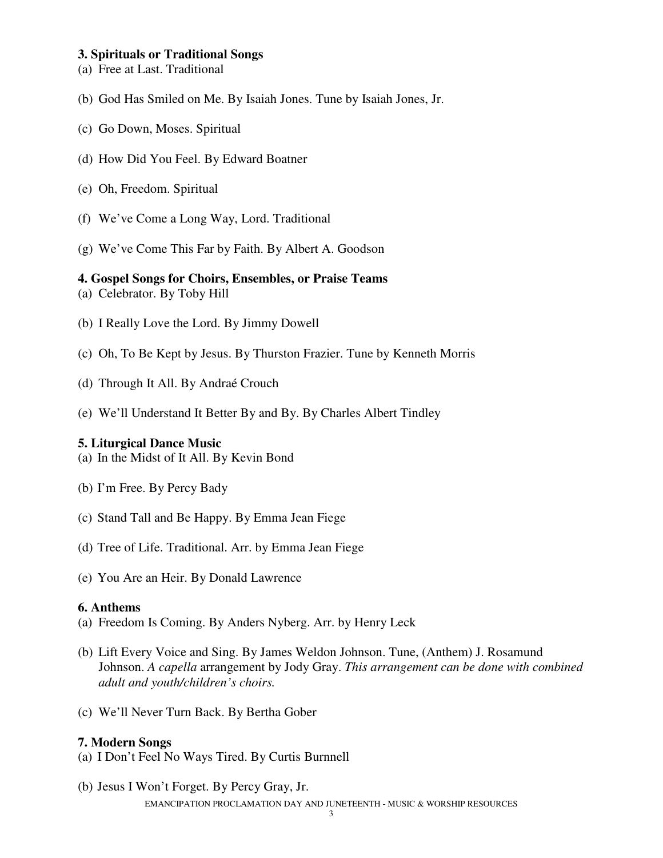#### **3. Spirituals or Traditional Songs**

- (a) Free at Last. Traditional
- (b) God Has Smiled on Me. By Isaiah Jones. Tune by Isaiah Jones, Jr.
- (c) Go Down, Moses. Spiritual
- (d) How Did You Feel. By Edward Boatner
- (e) Oh, Freedom. Spiritual
- (f) We've Come a Long Way, Lord. Traditional
- (g) We've Come This Far by Faith. By Albert A. Goodson

#### **4. Gospel Songs for Choirs, Ensembles, or Praise Teams**

- (a) Celebrator. By Toby Hill
- (b) I Really Love the Lord. By Jimmy Dowell
- (c) Oh, To Be Kept by Jesus. By Thurston Frazier. Tune by Kenneth Morris
- (d) Through It All. By Andraé Crouch
- (e) We'll Understand It Better By and By. By Charles Albert Tindley

#### **5. Liturgical Dance Music**

(a) In the Midst of It All. By Kevin Bond

- (b) I'm Free. By Percy Bady
- (c) Stand Tall and Be Happy. By Emma Jean Fiege
- (d) Tree of Life. Traditional. Arr. by Emma Jean Fiege
- (e) You Are an Heir. By Donald Lawrence

#### **6. Anthems**

- (a) Freedom Is Coming. By Anders Nyberg. Arr. by Henry Leck
- (b) Lift Every Voice and Sing. By James Weldon Johnson. Tune, (Anthem) J. Rosamund Johnson. *A capella* arrangement by Jody Gray. *This arrangement can be done with combined adult and youth/children's choirs.*
- (c) We'll Never Turn Back. By Bertha Gober

#### **7. Modern Songs**

- (a) I Don't Feel No Ways Tired. By Curtis Burnnell
- EMANCIPATION PROCLAMATION DAY AND JUNETEENTH MUSIC & WORSHIP RESOURCES (b) Jesus I Won't Forget. By Percy Gray, Jr.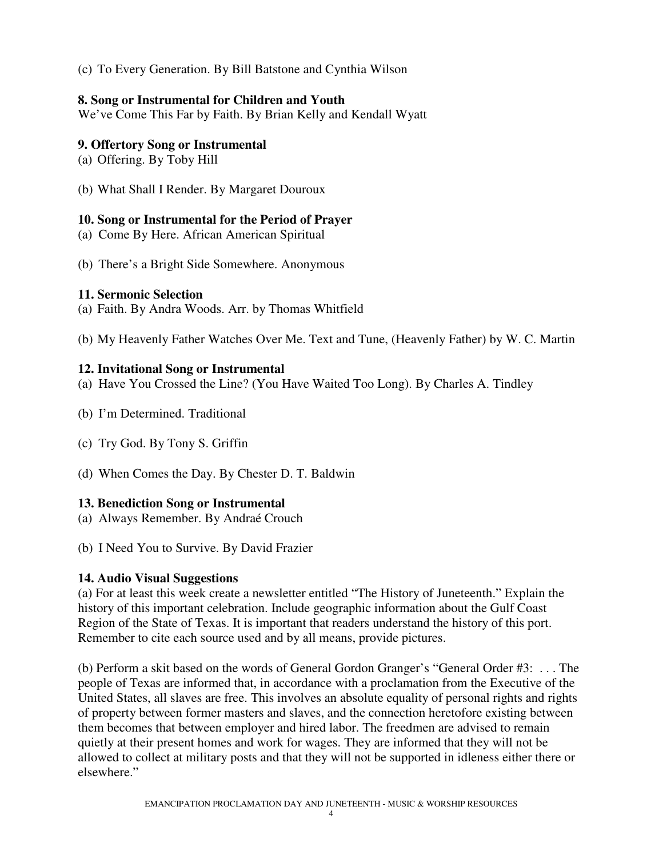(c) To Every Generation. By Bill Batstone and Cynthia Wilson

#### **8. Song or Instrumental for Children and Youth**

We've Come This Far by Faith. By Brian Kelly and Kendall Wyatt

## **9. Offertory Song or Instrumental**

- (a) Offering. By Toby Hill
- (b) What Shall I Render. By Margaret Douroux

## **10. Song or Instrumental for the Period of Prayer**

- (a) Come By Here. African American Spiritual
- (b) There's a Bright Side Somewhere. Anonymous

#### **11. Sermonic Selection**

- (a) Faith. By Andra Woods. Arr. by Thomas Whitfield
- (b) My Heavenly Father Watches Over Me. Text and Tune, (Heavenly Father) by W. C. Martin

## **12. Invitational Song or Instrumental**

- (a) Have You Crossed the Line? (You Have Waited Too Long). By Charles A. Tindley
- (b) I'm Determined. Traditional
- (c) Try God. By Tony S. Griffin
- (d) When Comes the Day. By Chester D. T. Baldwin

## **13. Benediction Song or Instrumental**

- (a) Always Remember. By Andraé Crouch
- (b) I Need You to Survive. By David Frazier

## **14. Audio Visual Suggestions**

(a) For at least this week create a newsletter entitled "The History of Juneteenth." Explain the history of this important celebration. Include geographic information about the Gulf Coast Region of the State of Texas. It is important that readers understand the history of this port. Remember to cite each source used and by all means, provide pictures.

(b) Perform a skit based on the words of General Gordon Granger's "General Order #3: . . . The people of Texas are informed that, in accordance with a proclamation from the Executive of the United States, all slaves are free. This involves an absolute equality of personal rights and rights of property between former masters and slaves, and the connection heretofore existing between them becomes that between employer and hired labor. The freedmen are advised to remain quietly at their present homes and work for wages. They are informed that they will not be allowed to collect at military posts and that they will not be supported in idleness either there or elsewhere."

4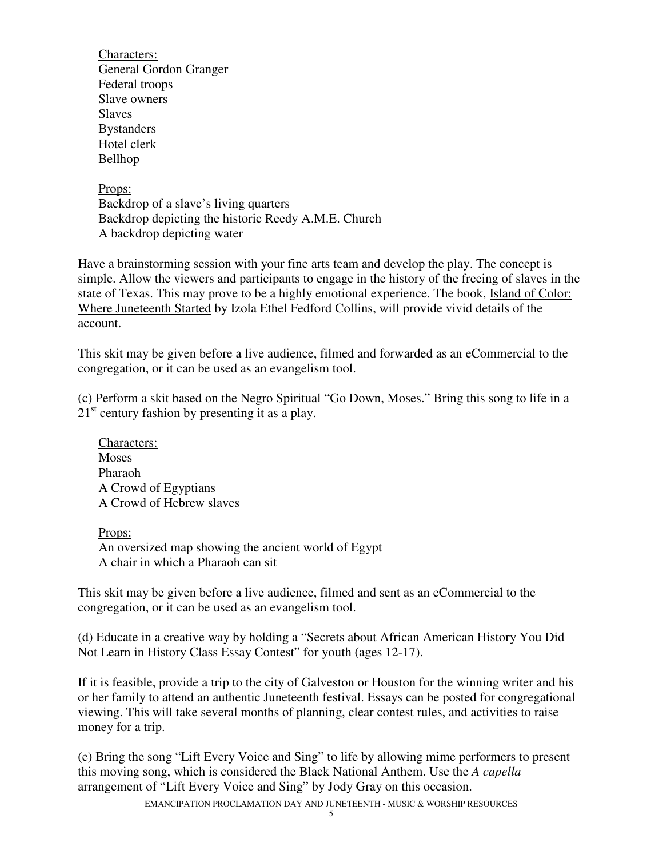Characters: General Gordon Granger Federal troops Slave owners Slaves **Bystanders** Hotel clerk Bellhop

Props: Backdrop of a slave's living quarters Backdrop depicting the historic Reedy A.M.E. Church A backdrop depicting water

Have a brainstorming session with your fine arts team and develop the play. The concept is simple. Allow the viewers and participants to engage in the history of the freeing of slaves in the state of Texas. This may prove to be a highly emotional experience. The book, Island of Color: Where Juneteenth Started by Izola Ethel Fedford Collins, will provide vivid details of the account.

This skit may be given before a live audience, filmed and forwarded as an eCommercial to the congregation, or it can be used as an evangelism tool.

(c) Perform a skit based on the Negro Spiritual "Go Down, Moses." Bring this song to life in a  $21<sup>st</sup>$  century fashion by presenting it as a play.

Characters: **Moses** Pharaoh A Crowd of Egyptians A Crowd of Hebrew slaves

Props: An oversized map showing the ancient world of Egypt A chair in which a Pharaoh can sit

This skit may be given before a live audience, filmed and sent as an eCommercial to the congregation, or it can be used as an evangelism tool.

(d) Educate in a creative way by holding a "Secrets about African American History You Did Not Learn in History Class Essay Contest" for youth (ages 12-17).

If it is feasible, provide a trip to the city of Galveston or Houston for the winning writer and his or her family to attend an authentic Juneteenth festival. Essays can be posted for congregational viewing. This will take several months of planning, clear contest rules, and activities to raise money for a trip.

(e) Bring the song "Lift Every Voice and Sing" to life by allowing mime performers to present this moving song, which is considered the Black National Anthem. Use the *A capella* arrangement of "Lift Every Voice and Sing" by Jody Gray on this occasion.

EMANCIPATION PROCLAMATION DAY AND JUNETEENTH - MUSIC & WORSHIP RESOURCES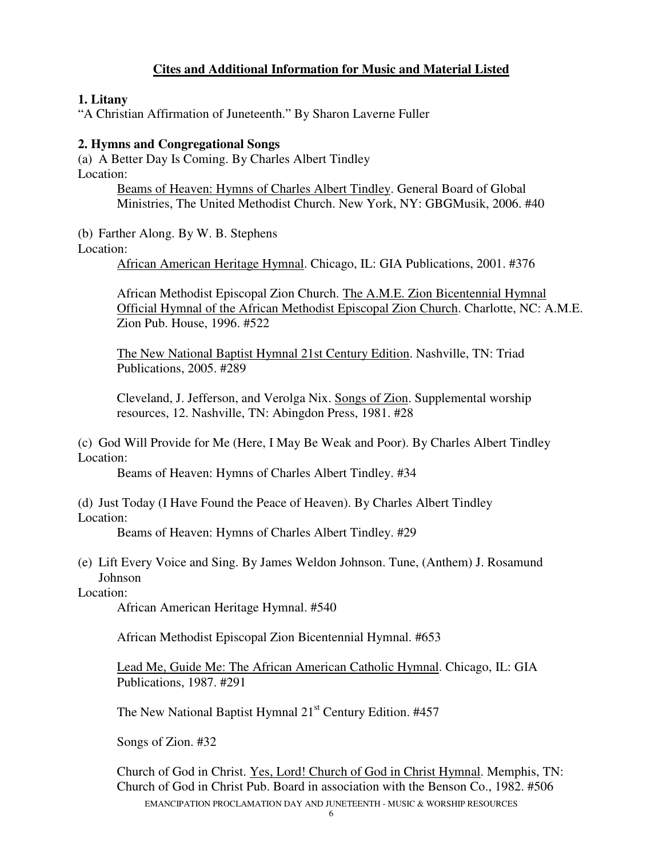## **Cites and Additional Information for Music and Material Listed**

#### **1. Litany**

"A Christian Affirmation of Juneteenth." By Sharon Laverne Fuller

#### **2. Hymns and Congregational Songs**

(a) A Better Day Is Coming. By Charles Albert Tindley Location:

> Beams of Heaven: Hymns of Charles Albert Tindley. General Board of Global Ministries, The United Methodist Church. New York, NY: GBGMusik, 2006. #40

(b) Farther Along. By W. B. Stephens Location:

African American Heritage Hymnal. Chicago, IL: GIA Publications, 2001. #376

African Methodist Episcopal Zion Church. The A.M.E. Zion Bicentennial Hymnal Official Hymnal of the African Methodist Episcopal Zion Church. Charlotte, NC: A.M.E. Zion Pub. House, 1996. #522

The New National Baptist Hymnal 21st Century Edition. Nashville, TN: Triad Publications, 2005. #289

Cleveland, J. Jefferson, and Verolga Nix. Songs of Zion. Supplemental worship resources, 12. Nashville, TN: Abingdon Press, 1981. #28

(c) God Will Provide for Me (Here, I May Be Weak and Poor). By Charles Albert Tindley Location:

Beams of Heaven: Hymns of Charles Albert Tindley. #34

(d) Just Today (I Have Found the Peace of Heaven). By Charles Albert Tindley Location:

Beams of Heaven: Hymns of Charles Albert Tindley. #29

(e) Lift Every Voice and Sing. By James Weldon Johnson. Tune, (Anthem) J. Rosamund Johnson

Location:

African American Heritage Hymnal. #540

African Methodist Episcopal Zion Bicentennial Hymnal. #653

Lead Me, Guide Me: The African American Catholic Hymnal. Chicago, IL: GIA Publications, 1987. #291

The New National Baptist Hymnal 21<sup>st</sup> Century Edition. #457

Songs of Zion. #32

EMANCIPATION PROCLAMATION DAY AND JUNETEENTH - MUSIC & WORSHIP RESOURCES Church of God in Christ. Yes, Lord! Church of God in Christ Hymnal. Memphis, TN: Church of God in Christ Pub. Board in association with the Benson Co., 1982. #506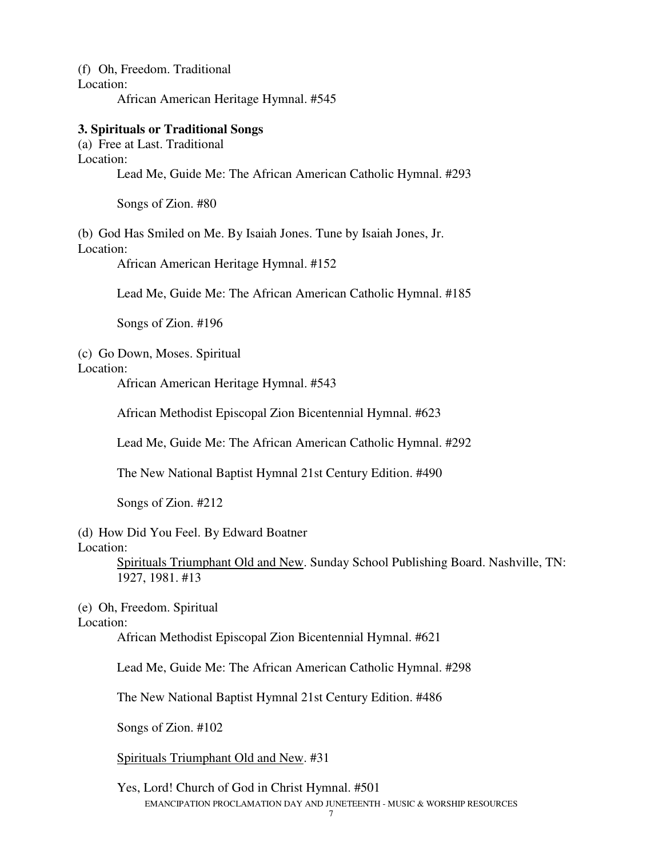(f) Oh, Freedom. Traditional Location: African American Heritage Hymnal. #545

#### **3. Spirituals or Traditional Songs**

(a) Free at Last. Traditional Location: Lead Me, Guide Me: The African American Catholic Hymnal. #293

Songs of Zion. #80

(b) God Has Smiled on Me. By Isaiah Jones. Tune by Isaiah Jones, Jr. Location:

African American Heritage Hymnal. #152

Lead Me, Guide Me: The African American Catholic Hymnal. #185

Songs of Zion. #196

#### (c) Go Down, Moses. Spiritual

Location:

African American Heritage Hymnal. #543

African Methodist Episcopal Zion Bicentennial Hymnal. #623

Lead Me, Guide Me: The African American Catholic Hymnal. #292

The New National Baptist Hymnal 21st Century Edition. #490

Songs of Zion. #212

(d) How Did You Feel. By Edward Boatner

Location:

Spirituals Triumphant Old and New. Sunday School Publishing Board. Nashville, TN: 1927, 1981. #13

(e) Oh, Freedom. Spiritual

Location:

African Methodist Episcopal Zion Bicentennial Hymnal. #621

Lead Me, Guide Me: The African American Catholic Hymnal. #298

The New National Baptist Hymnal 21st Century Edition. #486

Songs of Zion. #102

Spirituals Triumphant Old and New. #31

EMANCIPATION PROCLAMATION DAY AND JUNETEENTH - MUSIC & WORSHIP RESOURCES Yes, Lord! Church of God in Christ Hymnal. #501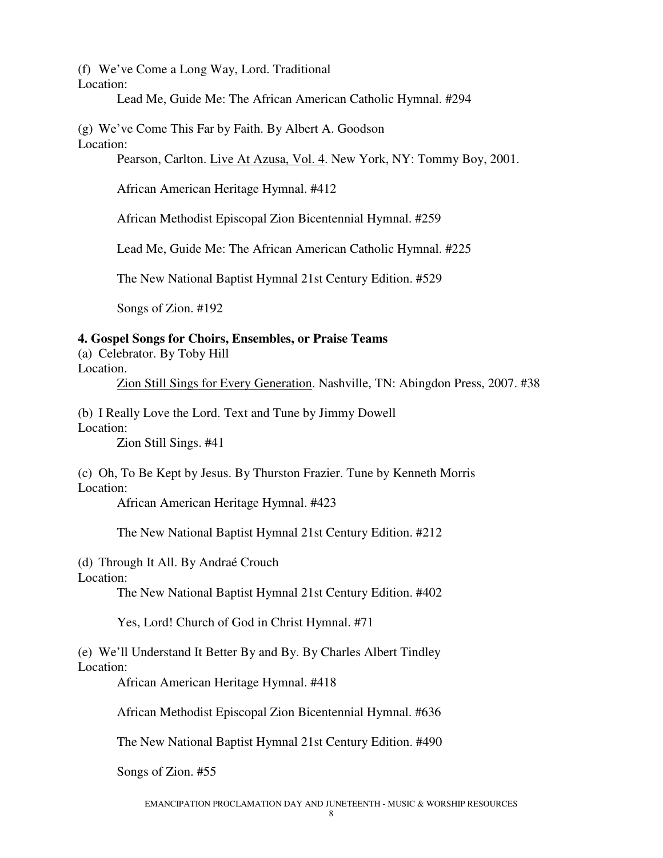(f) We've Come a Long Way, Lord. Traditional

Location:

Lead Me, Guide Me: The African American Catholic Hymnal. #294

(g) We've Come This Far by Faith. By Albert A. Goodson Location:

Pearson, Carlton. Live At Azusa, Vol. 4. New York, NY: Tommy Boy, 2001.

African American Heritage Hymnal. #412

African Methodist Episcopal Zion Bicentennial Hymnal. #259

Lead Me, Guide Me: The African American Catholic Hymnal. #225

The New National Baptist Hymnal 21st Century Edition. #529

Songs of Zion. #192

## **4. Gospel Songs for Choirs, Ensembles, or Praise Teams**

(a) Celebrator. By Toby Hill

Location.

Zion Still Sings for Every Generation. Nashville, TN: Abingdon Press, 2007. #38

(b) I Really Love the Lord. Text and Tune by Jimmy Dowell Location:

Zion Still Sings. #41

(c) Oh, To Be Kept by Jesus. By Thurston Frazier. Tune by Kenneth Morris Location:

African American Heritage Hymnal. #423

The New National Baptist Hymnal 21st Century Edition. #212

(d) Through It All. By Andraé Crouch

Location:

The New National Baptist Hymnal 21st Century Edition. #402

Yes, Lord! Church of God in Christ Hymnal. #71

(e) We'll Understand It Better By and By. By Charles Albert Tindley Location:

African American Heritage Hymnal. #418

African Methodist Episcopal Zion Bicentennial Hymnal. #636

The New National Baptist Hymnal 21st Century Edition. #490

Songs of Zion. #55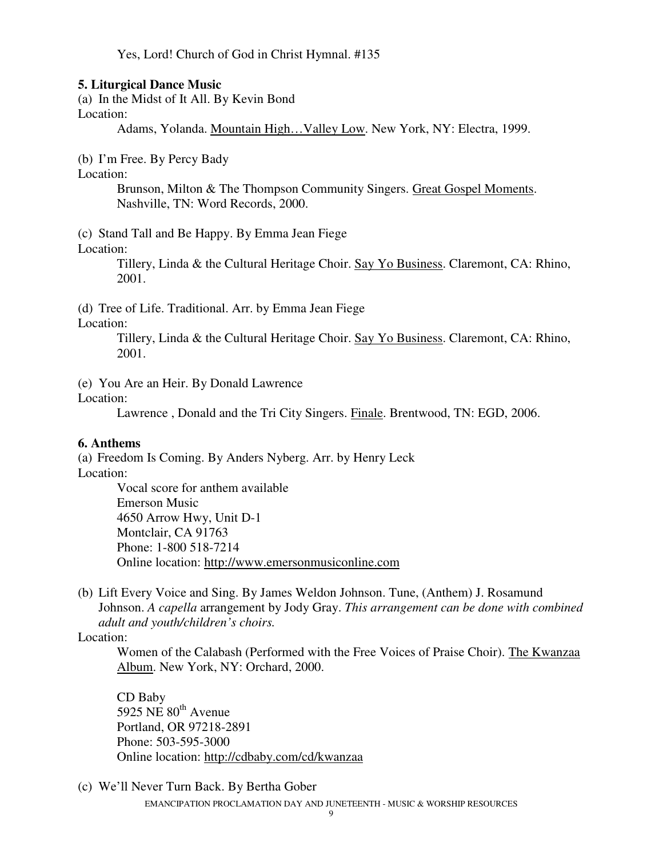Yes, Lord! Church of God in Christ Hymnal. #135

#### **5. Liturgical Dance Music**

(a) In the Midst of It All. By Kevin Bond

Location:

Adams, Yolanda. Mountain High…Valley Low. New York, NY: Electra, 1999.

(b) I'm Free. By Percy Bady

Location:

Brunson, Milton & The Thompson Community Singers. Great Gospel Moments. Nashville, TN: Word Records, 2000.

(c) Stand Tall and Be Happy. By Emma Jean Fiege

Location:

Tillery, Linda & the Cultural Heritage Choir. Say Yo Business. Claremont, CA: Rhino, 2001.

(d) Tree of Life. Traditional. Arr. by Emma Jean Fiege

Location:

Tillery, Linda & the Cultural Heritage Choir. Say Yo Business. Claremont, CA: Rhino, 2001.

(e) You Are an Heir. By Donald Lawrence

Location:

Lawrence , Donald and the Tri City Singers. Finale. Brentwood, TN: EGD, 2006.

#### **6. Anthems**

(a) Freedom Is Coming. By Anders Nyberg. Arr. by Henry Leck Location:

Vocal score for anthem available Emerson Music 4650 Arrow Hwy, Unit D-1 Montclair, CA 91763 Phone: 1-800 518-7214 Online location: http://www.emersonmusiconline.com

(b) Lift Every Voice and Sing. By James Weldon Johnson. Tune, (Anthem) J. Rosamund Johnson. *A capella* arrangement by Jody Gray. *This arrangement can be done with combined adult and youth/children's choirs.*

Location:

Women of the Calabash (Performed with the Free Voices of Praise Choir). The Kwanzaa Album. New York, NY: Orchard, 2000.

CD Baby 5925 NE  $80<sup>th</sup>$  Avenue Portland, OR 97218-2891 Phone: 503-595-3000 Online location: http://cdbaby.com/cd/kwanzaa

EMANCIPATION PROCLAMATION DAY AND JUNETEENTH - MUSIC & WORSHIP RESOURCES (c) We'll Never Turn Back. By Bertha Gober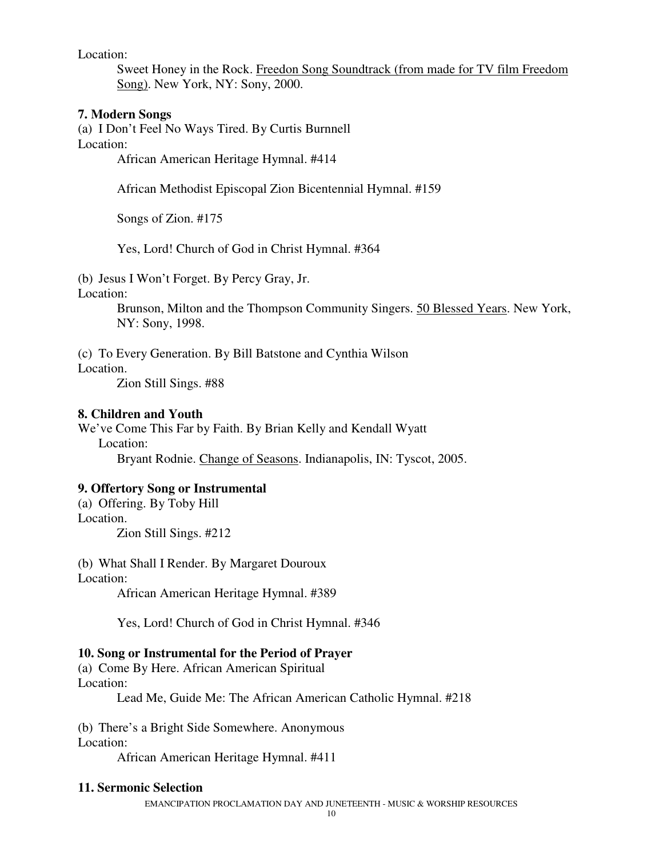Location:

Sweet Honey in the Rock. Freedon Song Soundtrack (from made for TV film Freedom Song). New York, NY: Sony, 2000.

#### **7. Modern Songs**

(a) I Don't Feel No Ways Tired. By Curtis Burnnell Location:

African American Heritage Hymnal. #414

African Methodist Episcopal Zion Bicentennial Hymnal. #159

Songs of Zion. #175

Yes, Lord! Church of God in Christ Hymnal. #364

(b) Jesus I Won't Forget. By Percy Gray, Jr.

Location:

Brunson, Milton and the Thompson Community Singers. 50 Blessed Years. New York, NY: Sony, 1998.

(c) To Every Generation. By Bill Batstone and Cynthia Wilson

Location.

Zion Still Sings. #88

#### **8. Children and Youth**

We've Come This Far by Faith. By Brian Kelly and Kendall Wyatt Location:

Bryant Rodnie. Change of Seasons. Indianapolis, IN: Tyscot, 2005.

## **9. Offertory Song or Instrumental**

(a) Offering. By Toby Hill Location.

Zion Still Sings. #212

(b) What Shall I Render. By Margaret Douroux

Location:

African American Heritage Hymnal. #389

Yes, Lord! Church of God in Christ Hymnal. #346

#### **10. Song or Instrumental for the Period of Prayer**

(a) Come By Here. African American Spiritual Location:

Lead Me, Guide Me: The African American Catholic Hymnal. #218

(b) There's a Bright Side Somewhere. Anonymous Location:

African American Heritage Hymnal. #411

#### **11. Sermonic Selection**

EMANCIPATION PROCLAMATION DAY AND JUNETEENTH - MUSIC & WORSHIP RESOURCES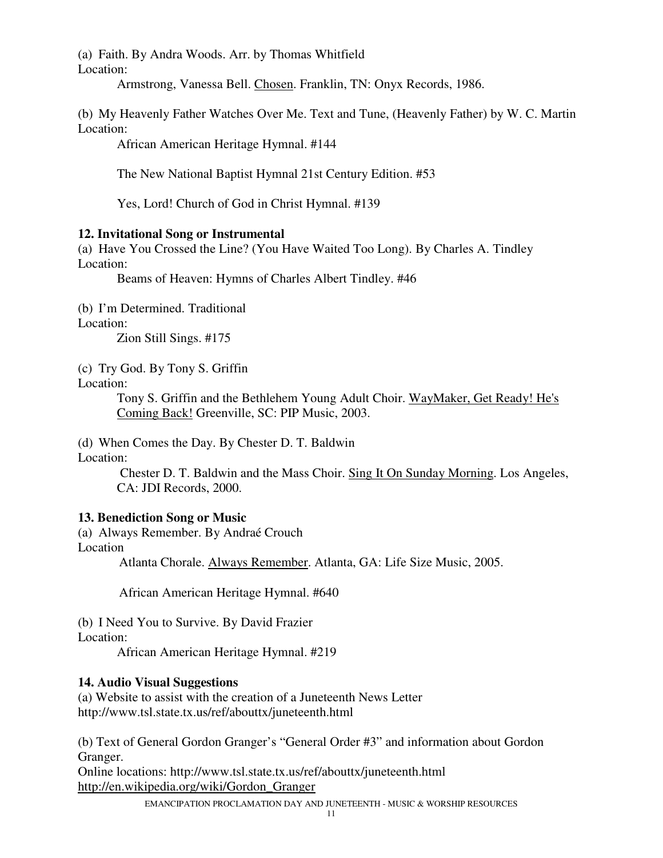(a) Faith. By Andra Woods. Arr. by Thomas Whitfield Location:

Armstrong, Vanessa Bell. Chosen. Franklin, TN: Onyx Records, 1986.

(b) My Heavenly Father Watches Over Me. Text and Tune, (Heavenly Father) by W. C. Martin Location:

African American Heritage Hymnal. #144

The New National Baptist Hymnal 21st Century Edition. #53

Yes, Lord! Church of God in Christ Hymnal. #139

## **12. Invitational Song or Instrumental**

(a) Have You Crossed the Line? (You Have Waited Too Long). By Charles A. Tindley Location:

Beams of Heaven: Hymns of Charles Albert Tindley. #46

(b) I'm Determined. Traditional

Location:

Zion Still Sings. #175

(c) Try God. By Tony S. Griffin

Location:

Tony S. Griffin and the Bethlehem Young Adult Choir. WayMaker, Get Ready! He's Coming Back! Greenville, SC: PIP Music, 2003.

(d) When Comes the Day. By Chester D. T. Baldwin Location:

> Chester D. T. Baldwin and the Mass Choir. Sing It On Sunday Morning. Los Angeles, CA: JDI Records, 2000.

## **13. Benediction Song or Music**

(a) Always Remember. By Andraé Crouch Location

Atlanta Chorale. Always Remember. Atlanta, GA: Life Size Music, 2005.

African American Heritage Hymnal. #640

(b) I Need You to Survive. By David Frazier Location:

African American Heritage Hymnal. #219

## **14. Audio Visual Suggestions**

(a) Website to assist with the creation of a Juneteenth News Letter http://www.tsl.state.tx.us/ref/abouttx/juneteenth.html

(b) Text of General Gordon Granger's "General Order #3" and information about Gordon Granger.

Online locations: http://www.tsl.state.tx.us/ref/abouttx/juneteenth.html http://en.wikipedia.org/wiki/Gordon\_Granger